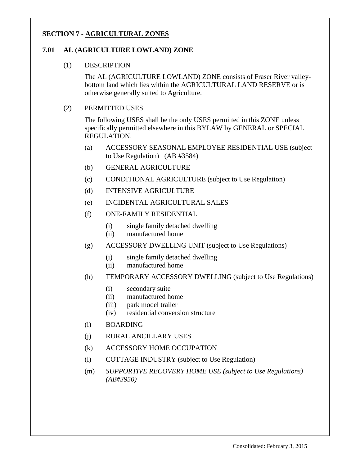# **SECTION 7 - AGRICULTURAL ZONES**

# **7.01 AL (AGRICULTURE LOWLAND) ZONE**

### (1) DESCRIPTION

The AL (AGRICULTURE LOWLAND) ZONE consists of Fraser River valleybottom land which lies within the AGRICULTURAL LAND RESERVE or is otherwise generally suited to Agriculture.

## (2) PERMITTED USES

The following USES shall be the only USES permitted in this ZONE unless specifically permitted elsewhere in this BYLAW by GENERAL or SPECIAL REGULATION.

- (a) ACCESSORY SEASONAL EMPLOYEE RESIDENTIAL USE (subject to Use Regulation) (AB #3584)
- (b) GENERAL AGRICULTURE
- (c) CONDITIONAL AGRICULTURE (subject to Use Regulation)
- (d) INTENSIVE AGRICULTURE
- (e) INCIDENTAL AGRICULTURAL SALES
- (f) ONE-FAMILY RESIDENTIAL
	- (i) single family detached dwelling
	- (ii) manufactured home
- (g) ACCESSORY DWELLING UNIT (subject to Use Regulations)
	- (i) single family detached dwelling
	- (ii) manufactured home
- (h) TEMPORARY ACCESSORY DWELLING (subject to Use Regulations)
	- (i) secondary suite
	- (ii) manufactured home
	- (iii) park model trailer
	- (iv) residential conversion structure
- (i) BOARDING
- (j) RURAL ANCILLARY USES
- (k) ACCESSORY HOME OCCUPATION
- (l) COTTAGE INDUSTRY (subject to Use Regulation)
- (m) *SUPPORTIVE RECOVERY HOME USE (subject to Use Regulations) (AB#3950)*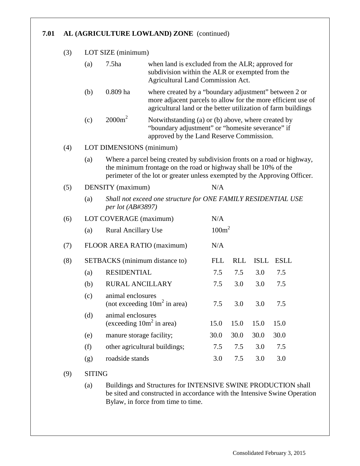# **7.01 AL (AGRICULTURE LOWLAND) ZONE** (continued)

(3) LOT SIZE (minimum)

|     | (a) | 7.5 <sub>ha</sub>                                                                                                                                                                                                        | when land is excluded from the ALR; approved for<br>subdivision within the ALR or exempted from the<br>Agricultural Land Commission Act.                                               |                                                                                                                                                    |            |             |             |  |  |  |  |
|-----|-----|--------------------------------------------------------------------------------------------------------------------------------------------------------------------------------------------------------------------------|----------------------------------------------------------------------------------------------------------------------------------------------------------------------------------------|----------------------------------------------------------------------------------------------------------------------------------------------------|------------|-------------|-------------|--|--|--|--|
|     | (b) | $0.809$ ha                                                                                                                                                                                                               | where created by a "boundary adjustment" between 2 or<br>more adjacent parcels to allow for the more efficient use of<br>agricultural land or the better utilization of farm buildings |                                                                                                                                                    |            |             |             |  |  |  |  |
|     | (c) | $2000m^2$                                                                                                                                                                                                                |                                                                                                                                                                                        | Notwithstanding (a) or (b) above, where created by<br>"boundary adjustment" or "homesite severance" if<br>approved by the Land Reserve Commission. |            |             |             |  |  |  |  |
| (4) |     | LOT DIMENSIONS (minimum)                                                                                                                                                                                                 |                                                                                                                                                                                        |                                                                                                                                                    |            |             |             |  |  |  |  |
|     | (a) | Where a parcel being created by subdivision fronts on a road or highway,<br>the minimum frontage on the road or highway shall be 10% of the<br>perimeter of the lot or greater unless exempted by the Approving Officer. |                                                                                                                                                                                        |                                                                                                                                                    |            |             |             |  |  |  |  |
| (5) |     | DENSITY (maximum)                                                                                                                                                                                                        |                                                                                                                                                                                        | N/A                                                                                                                                                |            |             |             |  |  |  |  |
|     | (a) | Shall not exceed one structure for ONE FAMILY RESIDENTIAL USE<br><i>per lot (AB#3897)</i>                                                                                                                                |                                                                                                                                                                                        |                                                                                                                                                    |            |             |             |  |  |  |  |
| (6) |     | LOT COVERAGE (maximum)                                                                                                                                                                                                   |                                                                                                                                                                                        | N/A                                                                                                                                                |            |             |             |  |  |  |  |
|     | (a) | <b>Rural Ancillary Use</b>                                                                                                                                                                                               |                                                                                                                                                                                        | 100m <sup>2</sup>                                                                                                                                  |            |             |             |  |  |  |  |
| (7) |     |                                                                                                                                                                                                                          | FLOOR AREA RATIO (maximum)                                                                                                                                                             | N/A                                                                                                                                                |            |             |             |  |  |  |  |
| (8) |     | SETBACKS (minimum distance to)                                                                                                                                                                                           |                                                                                                                                                                                        | <b>FLL</b>                                                                                                                                         | <b>RLL</b> | <b>ISLL</b> | <b>ESLL</b> |  |  |  |  |
|     | (a) | <b>RESIDENTIAL</b>                                                                                                                                                                                                       |                                                                                                                                                                                        | 7.5                                                                                                                                                | 7.5        | 3.0         | 7.5         |  |  |  |  |
|     | (b) | <b>RURAL ANCILLARY</b>                                                                                                                                                                                                   |                                                                                                                                                                                        | 7.5                                                                                                                                                | 3.0        | 3.0         | 7.5         |  |  |  |  |
|     | (c) | animal enclosures                                                                                                                                                                                                        | (not exceeding $10m^2$ in area)                                                                                                                                                        | 7.5                                                                                                                                                | 3.0        | 3.0         | 7.5         |  |  |  |  |
|     | (d) | animal enclosures<br>(exceeding $10m^2$ in area)                                                                                                                                                                         |                                                                                                                                                                                        | 15.0 15.0                                                                                                                                          |            | 15.0        | 15.0        |  |  |  |  |
|     | (e) | manure storage facility;                                                                                                                                                                                                 |                                                                                                                                                                                        | 30.0                                                                                                                                               | 30.0       | 30.0        | 30.0        |  |  |  |  |
|     | (f) |                                                                                                                                                                                                                          | other agricultural buildings;                                                                                                                                                          | 7.5                                                                                                                                                | 7.5        | 3.0         | 7.5         |  |  |  |  |
|     | (g) | roadside stands                                                                                                                                                                                                          |                                                                                                                                                                                        | 3.0                                                                                                                                                | 7.5        | 3.0         | 3.0         |  |  |  |  |
|     |     |                                                                                                                                                                                                                          |                                                                                                                                                                                        |                                                                                                                                                    |            |             |             |  |  |  |  |

- (9) SITING
	- (a) Buildings and Structures for INTENSIVE SWINE PRODUCTION shall be sited and constructed in accordance with the Intensive Swine Operation Bylaw, in force from time to time.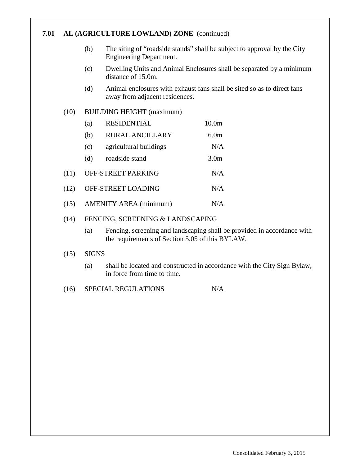# **7.01 AL (AGRICULTURE LOWLAND) ZONE** (continued)

- (b) The siting of "roadside stands" shall be subject to approval by the City Engineering Department.
- (c) Dwelling Units and Animal Enclosures shall be separated by a minimum distance of 15.0m.
- (d) Animal enclosures with exhaust fans shall be sited so as to direct fans away from adjacent residences.

#### (10) BUILDING HEIGHT (maximum)

|      | (a)                | <b>RESIDENTIAL</b>            | 10.0m            |
|------|--------------------|-------------------------------|------------------|
|      | (b)                | <b>RURAL ANCILLARY</b>        | 6.0 <sub>m</sub> |
|      | (c)                | agricultural buildings        | N/A              |
|      | (d)                | roadside stand                | 3.0 <sub>m</sub> |
| (11) |                    | OFF-STREET PARKING            | N/A              |
| (12) | OFF-STREET LOADING | N/A                           |                  |
| (13) |                    | <b>AMENITY AREA</b> (minimum) | N/A              |
|      |                    |                               |                  |

#### (14) FENCING, SCREENING & LANDSCAPING

(a) Fencing, screening and landscaping shall be provided in accordance with the requirements of Section 5.05 of this BYLAW.

#### (15) SIGNS

- (a) shall be located and constructed in accordance with the City Sign Bylaw, in force from time to time.
- (16) SPECIAL REGULATIONS N/A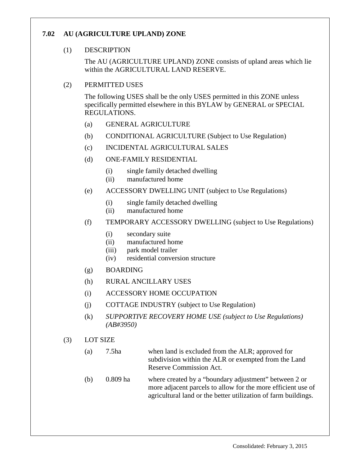# **7.02 AU (AGRICULTURE UPLAND) ZONE**

## (1) DESCRIPTION

The AU (AGRICULTURE UPLAND) ZONE consists of upland areas which lie within the AGRICULTURAL LAND RESERVE.

## (2) PERMITTED USES

The following USES shall be the only USES permitted in this ZONE unless specifically permitted elsewhere in this BYLAW by GENERAL or SPECIAL REGULATIONS.

- (a) GENERAL AGRICULTURE
- (b) CONDITIONAL AGRICULTURE (Subject to Use Regulation)
- (c) INCIDENTAL AGRICULTURAL SALES
- (d) ONE-FAMILY RESIDENTIAL
	- (i) single family detached dwelling
	- (ii) manufactured home
- (e) ACCESSORY DWELLING UNIT (subject to Use Regulations)
	- (i) single family detached dwelling
	- (ii) manufactured home
- (f) TEMPORARY ACCESSORY DWELLING (subject to Use Regulations)
	- (i) secondary suite
	- (ii) manufactured home
	- (iii) park model trailer
	- (iv) residential conversion structure
- (g) BOARDING
- (h) RURAL ANCILLARY USES
- (i) ACCESSORY HOME OCCUPATION
- (j) COTTAGE INDUSTRY (subject to Use Regulation)
- (k) *SUPPORTIVE RECOVERY HOME USE (subject to Use Regulations) (AB#3950)*
- (3) LOT SIZE
	- (a) 7.5ha when land is excluded from the ALR; approved for subdivision within the ALR or exempted from the Land Reserve Commission Act.
	- (b) 0.809 ha where created by a "boundary adjustment" between 2 or more adjacent parcels to allow for the more efficient use of agricultural land or the better utilization of farm buildings.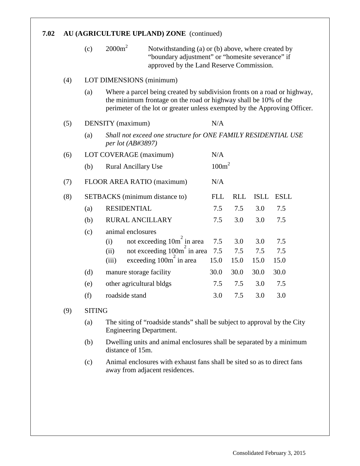## **7.02 AU (AGRICULTURE UPLAND) ZONE** (continued)

| (c) | $2000m^2$ | Notwithstanding (a) or (b) above, where created by |
|-----|-----------|----------------------------------------------------|
|     |           | "boundary adjustment" or "homesite severance" if   |
|     |           | approved by the Land Reserve Commission.           |

#### (4) LOT DIMENSIONS (minimum)

(a) Where a parcel being created by subdivision fronts on a road or highway, the minimum frontage on the road or highway shall be 10% of the perimeter of the lot or greater unless exempted by the Approving Officer.

# (5) DENSITY (maximum) N/A

(a) *Shall not exceed one structure for ONE FAMILY RESIDENTIAL USE per lot (AB#3897)*

| (6) |     | LOT COVERAGE (maximum)                                            | N/A               |      |      |             |  |  |
|-----|-----|-------------------------------------------------------------------|-------------------|------|------|-------------|--|--|
|     | (b) | <b>Rural Ancillary Use</b>                                        | 100m <sup>2</sup> |      |      |             |  |  |
| (7) |     | FLOOR AREA RATIO (maximum)                                        | N/A               |      |      |             |  |  |
| (8) |     | SETBACKS (minimum distance to)                                    | <b>FLL</b>        | RLL  | ISLL | <b>ESLL</b> |  |  |
|     | (a) | <b>RESIDENTIAL</b>                                                | 7.5               | 7.5  | 3.0  | 7.5         |  |  |
|     | (b) | <b>RURAL ANCILLARY</b>                                            | 7.5               | 3.0  | 3.0  | 7.5         |  |  |
|     | (c) | animal enclosures                                                 |                   |      |      |             |  |  |
|     |     | not exceeding 10m <sup>-</sup> in area<br>(i)                     | 7.5               | 3.0  | 3.0  | 7.5         |  |  |
|     |     | not exceeding 100m in area<br>(ii)                                | 7.5               | 7.5  | 7.5  | 7.5         |  |  |
|     |     | exceeding 100m <sup><math>\tilde{ }</math></sup> in area<br>(iii) | 15.0              | 15.0 | 15.0 | 15.0        |  |  |
|     | (d) | manure storage facility                                           | 30.0              | 30.0 | 30.0 | 30.0        |  |  |
|     | (e) | other agricultural bldgs                                          | 7.5               | 7.5  | 3.0  | 7.5         |  |  |
|     | (f) | roadside stand                                                    | 3.0               | 7.5  | 3.0  | 3.0         |  |  |

#### (9) SITING

- (a) The siting of "roadside stands" shall be subject to approval by the City Engineering Department.
- (b) Dwelling units and animal enclosures shall be separated by a minimum distance of 15m.
- (c) Animal enclosures with exhaust fans shall be sited so as to direct fans away from adjacent residences.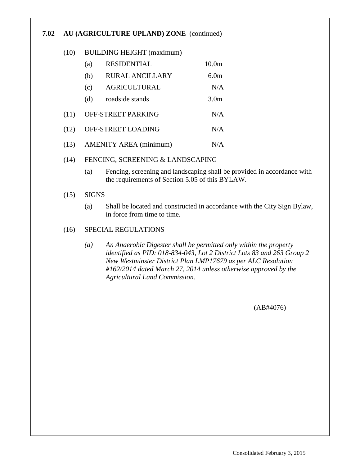# **7.02 AU (AGRICULTURE UPLAND) ZONE** (continued)

#### (10) BUILDING HEIGHT (maximum)

|      | (a) | <b>RESIDENTIAL</b>     | 10.0m            |
|------|-----|------------------------|------------------|
|      | (b) | <b>RURAL ANCILLARY</b> | 6.0 <sub>m</sub> |
|      | (c) | <b>AGRICULTURAL</b>    | N/A              |
|      | (d) | roadside stands        | 3.0 <sub>m</sub> |
| (11) |     | OFF-STREET PARKING     | N/A              |
| (12) |     | OFF-STREET LOADING     | N/A              |
|      |     |                        |                  |

(13) AMENITY AREA (minimum) N/A

#### (14) FENCING, SCREENING & LANDSCAPING

(a) Fencing, screening and landscaping shall be provided in accordance with the requirements of Section 5.05 of this BYLAW.

#### (15) SIGNS

(a) Shall be located and constructed in accordance with the City Sign Bylaw, in force from time to time.

#### (16) SPECIAL REGULATIONS

*(a) An Anaerobic Digester shall be permitted only within the property identified as PID: 018-834-043, Lot 2 District Lots 83 and 263 Group 2 New Westminster District Plan LMP17679 as per ALC Resolution #162/2014 dated March 27, 2014 unless otherwise approved by the Agricultural Land Commission.*

(AB#4076)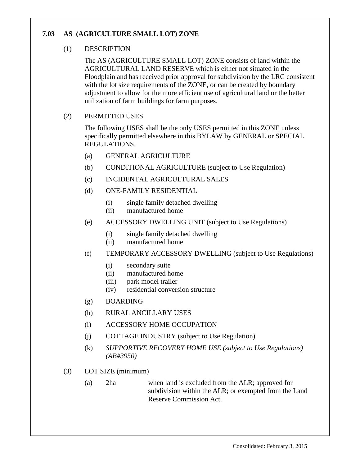# **7.03 AS (AGRICULTURE SMALL LOT) ZONE**

### (1) DESCRIPTION

The AS (AGRICULTURE SMALL LOT) ZONE consists of land within the AGRICULTURAL LAND RESERVE which is either not situated in the Floodplain and has received prior approval for subdivision by the LRC consistent with the lot size requirements of the ZONE, or can be created by boundary adjustment to allow for the more efficient use of agricultural land or the better utilization of farm buildings for farm purposes.

# (2) PERMITTED USES

The following USES shall be the only USES permitted in this ZONE unless specifically permitted elsewhere in this BYLAW by GENERAL or SPECIAL REGULATIONS.

- (a) GENERAL AGRICULTURE
- (b) CONDITIONAL AGRICULTURE (subject to Use Regulation)
- (c) INCIDENTAL AGRICULTURAL SALES
- (d) ONE-FAMILY RESIDENTIAL
	- (i) single family detached dwelling
	- (ii) manufactured home
- (e) ACCESSORY DWELLING UNIT (subject to Use Regulations)
	- (i) single family detached dwelling
	- (ii) manufactured home
- (f) TEMPORARY ACCESSORY DWELLING (subject to Use Regulations)
	- (i) secondary suite
	- (ii) manufactured home
	- (iii) park model trailer
	- (iv) residential conversion structure
- (g) BOARDING
- (h) RURAL ANCILLARY USES
- (i) ACCESSORY HOME OCCUPATION
- (j) COTTAGE INDUSTRY (subject to Use Regulation)
- (k) *SUPPORTIVE RECOVERY HOME USE (subject to Use Regulations) (AB#3950)*
- (3) LOT SIZE (minimum)
	- (a) 2ha when land is excluded from the ALR; approved for subdivision within the ALR; or exempted from the Land Reserve Commission Act.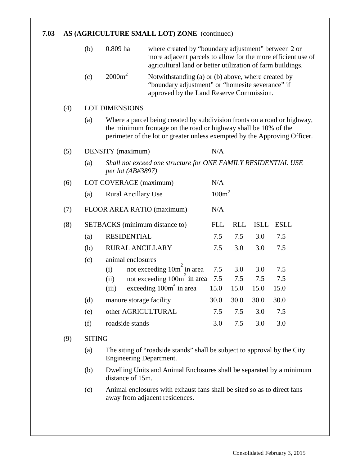# **7.03 AS (AGRICULTURE SMALL LOT) ZONE** (continued)

|     | (b) | $0.809$ ha                                | where created by "boundary adjustment" between 2 or<br>more adjacent parcels to allow for the more efficient use of<br>agricultural land or better utilization of farm buildings.                                        |                    |                    |                    |                    |  |  |  |
|-----|-----|-------------------------------------------|--------------------------------------------------------------------------------------------------------------------------------------------------------------------------------------------------------------------------|--------------------|--------------------|--------------------|--------------------|--|--|--|
|     | (c) | $2000m^2$                                 | Notwithstanding (a) or (b) above, where created by<br>"boundary adjustment" or "homesite severance" if<br>approved by the Land Reserve Commission.                                                                       |                    |                    |                    |                    |  |  |  |
| (4) |     | <b>LOT DIMENSIONS</b>                     |                                                                                                                                                                                                                          |                    |                    |                    |                    |  |  |  |
|     | (a) |                                           | Where a parcel being created by subdivision fronts on a road or highway,<br>the minimum frontage on the road or highway shall be 10% of the<br>perimeter of the lot or greater unless exempted by the Approving Officer. |                    |                    |                    |                    |  |  |  |
| (5) |     | DENSITY (maximum)                         |                                                                                                                                                                                                                          | N/A                |                    |                    |                    |  |  |  |
|     | (a) | per lot (AB#3897)                         | Shall not exceed one structure for ONE FAMILY RESIDENTIAL USE                                                                                                                                                            |                    |                    |                    |                    |  |  |  |
| (6) |     | LOT COVERAGE (maximum)                    |                                                                                                                                                                                                                          | N/A                |                    |                    |                    |  |  |  |
|     | (a) | <b>Rural Ancillary Use</b>                |                                                                                                                                                                                                                          | 100m <sup>2</sup>  |                    |                    |                    |  |  |  |
| (7) |     | FLOOR AREA RATIO (maximum)                |                                                                                                                                                                                                                          | N/A                |                    |                    |                    |  |  |  |
| (8) |     | SETBACKS (minimum distance to)            |                                                                                                                                                                                                                          | <b>FLL</b>         | <b>RLL</b>         | <b>ISLL</b>        | <b>ESLL</b>        |  |  |  |
|     | (a) | <b>RESIDENTIAL</b>                        |                                                                                                                                                                                                                          | 7.5                | 7.5                | 3.0                | 7.5                |  |  |  |
|     | (b) | <b>RURAL ANCILLARY</b>                    |                                                                                                                                                                                                                          | 7.5                | 3.0                | 3.0                | 7.5                |  |  |  |
|     | (c) | animal enclosures<br>(i)<br>(ii)<br>(iii) | not exceeding 10m in area<br>not exceeding 100m <sup>2</sup> in area<br>exceeding $100m2$ in area                                                                                                                        | 7.5<br>7.5<br>15.0 | 3.0<br>7.5<br>15.0 | 3.0<br>7.5<br>15.0 | 7.5<br>7.5<br>15.0 |  |  |  |
|     | (d) | manure storage facility                   |                                                                                                                                                                                                                          | 30.0               | 30.0               | 30.0               | 30.0               |  |  |  |
|     | (e) | other AGRICULTURAL                        |                                                                                                                                                                                                                          | 7.5                | 7.5                | 3.0                | 7.5                |  |  |  |
|     | (f) | roadside stands                           |                                                                                                                                                                                                                          | 3.0                | 7.5                | 3.0                | 3.0                |  |  |  |
|     |     |                                           |                                                                                                                                                                                                                          |                    |                    |                    |                    |  |  |  |

# (9) SITING

- (a) The siting of "roadside stands" shall be subject to approval by the City Engineering Department.
- (b) Dwelling Units and Animal Enclosures shall be separated by a minimum distance of 15m.
- (c) Animal enclosures with exhaust fans shall be sited so as to direct fans away from adjacent residences.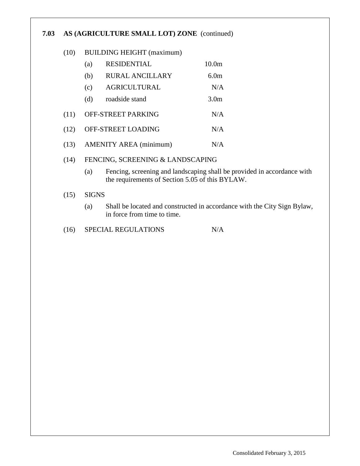# **7.03 AS (AGRICULTURE SMALL LOT) ZONE** (continued)

# (10) BUILDING HEIGHT (maximum)

|      | <b>RESIDENTIAL</b><br>(a)     | 10.0 <sub>m</sub> |
|------|-------------------------------|-------------------|
|      | <b>RURAL ANCILLARY</b><br>(b) | 6.0m              |
|      | <b>AGRICULTURAL</b><br>(c)    | N/A               |
|      | roadside stand<br>(d)         | 3.0 <sub>m</sub>  |
| (11) | OFF-STREET PARKING            | N/A               |
| (12) | OFF-STREET LOADING            | N/A               |
| (13) | <b>AMENITY AREA</b> (minimum) | N/A               |
|      |                               |                   |

#### (14) FENCING, SCREENING & LANDSCAPING

(a) Fencing, screening and landscaping shall be provided in accordance with the requirements of Section 5.05 of this BYLAW.

### (15) SIGNS

- (a) Shall be located and constructed in accordance with the City Sign Bylaw, in force from time to time.
- (16) SPECIAL REGULATIONS N/A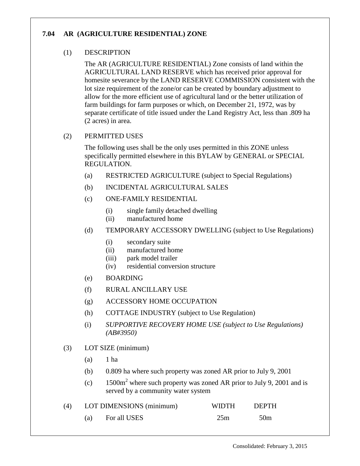# **7.04 AR (AGRICULTURE RESIDENTIAL) ZONE**

## (1) DESCRIPTION

The AR (AGRICULTURE RESIDENTIAL) Zone consists of land within the AGRICULTURAL LAND RESERVE which has received prior approval for homesite severance by the LAND RESERVE COMMISSION consistent with the lot size requirement of the zone/or can be created by boundary adjustment to allow for the more efficient use of agricultural land or the better utilization of farm buildings for farm purposes or which, on December 21, 1972, was by separate certificate of title issued under the Land Registry Act, less than .809 ha (2 acres) in area.

# (2) PERMITTED USES

The following uses shall be the only uses permitted in this ZONE unless specifically permitted elsewhere in this BYLAW by GENERAL or SPECIAL REGULATION.

- (a) RESTRICTED AGRICULTURE (subject to Special Regulations)
- (b) INCIDENTAL AGRICULTURAL SALES
- (c) ONE-FAMILY RESIDENTIAL
	- (i) single family detached dwelling
	- (ii) manufactured home
- (d) TEMPORARY ACCESSORY DWELLING (subject to Use Regulations)
	- (i) secondary suite
	- (ii) manufactured home
	- (iii) park model trailer
	- (iv) residential conversion structure
- (e) BOARDING
- (f) RURAL ANCILLARY USE
- (g) ACCESSORY HOME OCCUPATION
- (h) COTTAGE INDUSTRY (subject to Use Regulation)
- (i) *SUPPORTIVE RECOVERY HOME USE (subject to Use Regulations) (AB#3950)*
- (3) LOT SIZE (minimum)
	- $(a)$  1 ha
	- (b) 0.809 ha where such property was zoned AR prior to July 9, 2001
	- (c)  $1500m^2$  where such property was zoned AR prior to July 9, 2001 and is served by a community water system

| (4) | LOT DIMENSIONS (minimum) | <b>WIDTH</b> | <b>DEPTH</b>    |
|-----|--------------------------|--------------|-----------------|
|     | For all USES             | 25m          | 50 <sub>m</sub> |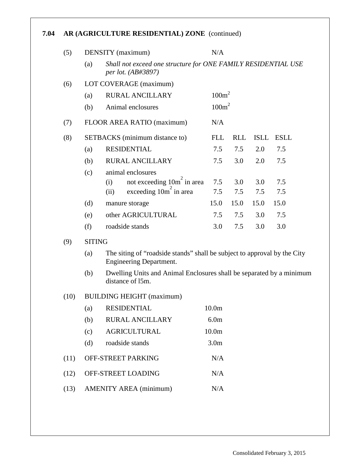| 7.04 | AR (AGRICULTURE RESIDENTIAL) ZONE (continued) |                                                                                                                   |                                                                                            |                                  |  |                   |            |             |             |  |  |  |
|------|-----------------------------------------------|-------------------------------------------------------------------------------------------------------------------|--------------------------------------------------------------------------------------------|----------------------------------|--|-------------------|------------|-------------|-------------|--|--|--|
|      | (5)                                           |                                                                                                                   |                                                                                            | DENSITY (maximum)                |  |                   |            |             |             |  |  |  |
|      |                                               | (a)                                                                                                               | Shall not exceed one structure for ONE FAMILY RESIDENTIAL USE<br><i>per lot.</i> (AB#3897) |                                  |  |                   |            |             |             |  |  |  |
|      | (6)                                           |                                                                                                                   | LOT COVERAGE (maximum)                                                                     |                                  |  |                   |            |             |             |  |  |  |
|      |                                               | (a)                                                                                                               |                                                                                            | <b>RURAL ANCILLARY</b>           |  | 100m <sup>2</sup> |            |             |             |  |  |  |
|      |                                               | (b)                                                                                                               |                                                                                            | Animal enclosures                |  | 100m <sup>2</sup> |            |             |             |  |  |  |
|      | (7)                                           |                                                                                                                   |                                                                                            | FLOOR AREA RATIO (maximum)       |  |                   | N/A        |             |             |  |  |  |
|      | (8)                                           |                                                                                                                   |                                                                                            | SETBACKS (minimum distance to)   |  | <b>FLL</b>        | <b>RLL</b> | <b>ISLL</b> | <b>ESLL</b> |  |  |  |
|      |                                               | (a)                                                                                                               |                                                                                            | <b>RESIDENTIAL</b>               |  | 7.5               | 7.5        | 2.0         | 7.5         |  |  |  |
|      |                                               | (b)                                                                                                               |                                                                                            | RURAL ANCILLARY                  |  | 7.5               | 3.0        | 2.0         | 7.5         |  |  |  |
|      |                                               | (c)                                                                                                               |                                                                                            | animal enclosures                |  |                   |            |             |             |  |  |  |
|      |                                               |                                                                                                                   | (i)                                                                                        | not exceeding 10m in area        |  | 7.5               | 3.0        | 3.0         | 7.5         |  |  |  |
|      |                                               |                                                                                                                   | (ii)                                                                                       | exceeding 10m in area            |  | 7.5               | 7.5        | 7.5         | 7.5         |  |  |  |
|      |                                               | (d)                                                                                                               |                                                                                            | manure storage                   |  | 15.0              | 15.0       | 15.0        | 15.0        |  |  |  |
|      |                                               | (e)                                                                                                               |                                                                                            | other AGRICULTURAL               |  | 7.5               | 7.5        | 3.0         | 7.5         |  |  |  |
|      |                                               | (f)                                                                                                               |                                                                                            | roadside stands                  |  | 3.0               | 7.5        | 3.0         | 3.0         |  |  |  |
|      | (9)                                           |                                                                                                                   | <b>SITING</b>                                                                              |                                  |  |                   |            |             |             |  |  |  |
|      |                                               | The siting of "roadside stands" shall be subject to approval by the City<br>(a)<br><b>Engineering Department.</b> |                                                                                            |                                  |  |                   |            |             |             |  |  |  |
|      |                                               | Dwelling Units and Animal Enclosures shall be separated by a minimum<br>(b)<br>distance of 15m.                   |                                                                                            |                                  |  |                   |            |             |             |  |  |  |
|      | (10)                                          |                                                                                                                   |                                                                                            | <b>BUILDING HEIGHT</b> (maximum) |  |                   |            |             |             |  |  |  |
|      |                                               | (a)                                                                                                               |                                                                                            | <b>RESIDENTIAL</b>               |  | 10.0 <sub>m</sub> |            |             |             |  |  |  |
|      |                                               | (b)                                                                                                               |                                                                                            | <b>RURAL ANCILLARY</b>           |  | 6.0 <sub>m</sub>  |            |             |             |  |  |  |
|      |                                               | (c)                                                                                                               |                                                                                            | <b>AGRICULTURAL</b>              |  | 10.0 <sub>m</sub> |            |             |             |  |  |  |
|      |                                               | (d)                                                                                                               |                                                                                            | roadside stands                  |  | 3.0 <sub>m</sub>  |            |             |             |  |  |  |
|      | (11)                                          |                                                                                                                   |                                                                                            | OFF-STREET PARKING               |  | N/A               |            |             |             |  |  |  |
|      | (12)                                          |                                                                                                                   |                                                                                            | OFF-STREET LOADING               |  | N/A               |            |             |             |  |  |  |

(13) AMENITY AREA (minimum) N/A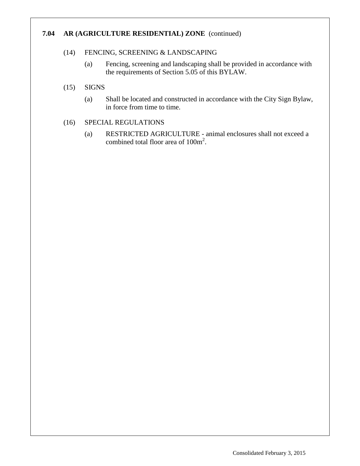# **7.04 AR (AGRICULTURE RESIDENTIAL) ZONE** (continued)

## (14) FENCING, SCREENING & LANDSCAPING

(a) Fencing, screening and landscaping shall be provided in accordance with the requirements of Section 5.05 of this BYLAW.

### (15) SIGNS

(a) Shall be located and constructed in accordance with the City Sign Bylaw, in force from time to time.

### (16) SPECIAL REGULATIONS

(a) RESTRICTED AGRICULTURE - animal enclosures shall not exceed a combined total floor area of 100m<sup>2</sup>.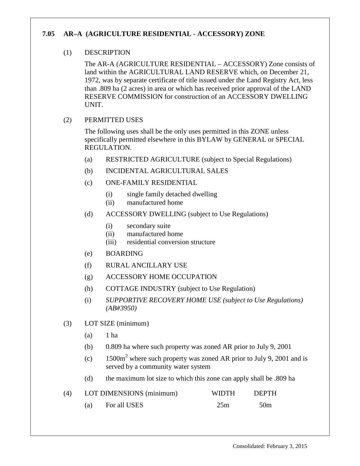# **7.05 AR–A (AGRICULTURE RESIDENTIAL - ACCESSORY) ZONE**

## (1) DESCRIPTION

The AR-A (AGRICULTURE RESIDENTIAL – ACCESSORY) Zone consists of land within the AGRICULTURAL LAND RESERVE which, on December 21, 1972, was by separate certificate of title issued under the Land Registry Act, less than .809 ha (2 acres) in area or which has received prior approval of the LAND RESERVE COMMISSION for construction of an ACCESSORY DWELLING UNIT.

### (2) PERMITTED USES

The following uses shall be the only uses permitted in this ZONE unless specifically permitted elsewhere in this BYLAW by GENERAL or SPECIAL REGULATION.

- (a) RESTRICTED AGRICULTURE (subject to Special Regulations)
- (b) INCIDENTAL AGRICULTURAL SALES
- (c) ONE-FAMILY RESIDENTIAL
	- (i) single family detached dwelling
	- (ii) manufactured home
- (d) ACCESSORY DWELLING (subject to Use Regulations)
	- (i) secondary suite
	- (ii) manufactured home
	- (iii) residential conversion structure
- (e) BOARDING
- (f) RURAL ANCILLARY USE
- (g) ACCESSORY HOME OCCUPATION
- (h) COTTAGE INDUSTRY (subject to Use Regulation)
- (i) *SUPPORTIVE RECOVERY HOME USE (subject to Use Regulations) (AB#3950)*
- (3) LOT SIZE (minimum)
	- $(a)$  1 ha
	- (b) 0.809 ha where such property was zoned AR prior to July 9, 2001
	- (c)  $1500m^2$  where such property was zoned AR prior to July 9, 2001 and is served by a community water system
	- (d) the maximum lot size to which this zone can apply shall be .809 ha

| (4) | LOT DIMENSIONS (minimum) | <b>WIDTH</b> | <b>DEPTH</b>    |
|-----|--------------------------|--------------|-----------------|
|     | For all USES             | 25m          | 50 <sub>m</sub> |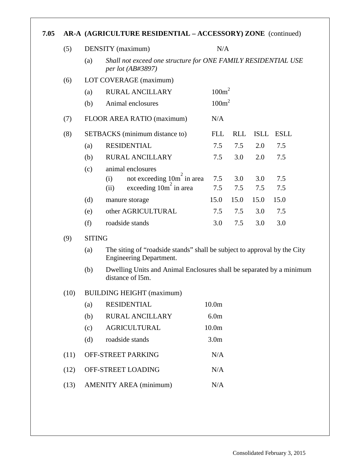| 7.05 |      |                                                                                                                   |                            | AR-A (AGRICULTURE RESIDENTIAL - ACCESSORY) ZONE (continued) |                   |                   |             |      |  |  |  |
|------|------|-------------------------------------------------------------------------------------------------------------------|----------------------------|-------------------------------------------------------------|-------------------|-------------------|-------------|------|--|--|--|
|      | (5)  |                                                                                                                   |                            | DENSITY (maximum)                                           | N/A               |                   |             |      |  |  |  |
|      |      | Shall not exceed one structure for ONE FAMILY RESIDENTIAL USE<br>(a)<br>per lot (AB#3897)                         |                            |                                                             |                   |                   |             |      |  |  |  |
|      | (6)  |                                                                                                                   |                            | LOT COVERAGE (maximum)                                      |                   |                   |             |      |  |  |  |
|      |      | (a)                                                                                                               |                            | <b>RURAL ANCILLARY</b>                                      |                   | 100m <sup>2</sup> |             |      |  |  |  |
|      |      | (b)                                                                                                               |                            | Animal enclosures                                           |                   | 100m <sup>2</sup> |             |      |  |  |  |
|      | (7)  |                                                                                                                   | FLOOR AREA RATIO (maximum) |                                                             |                   |                   |             |      |  |  |  |
| (8)  |      | SETBACKS (minimum distance to)                                                                                    |                            |                                                             |                   | <b>RLL</b>        | <b>ISLL</b> | ESLL |  |  |  |
|      |      | (a)                                                                                                               |                            | <b>RESIDENTIAL</b>                                          | 7.5               | 7.5               | 2.0         | 7.5  |  |  |  |
|      |      | (b)                                                                                                               |                            | <b>RURAL ANCILLARY</b>                                      | 7.5               | 3.0               | 2.0         | 7.5  |  |  |  |
|      |      | (c)                                                                                                               |                            | animal enclosures                                           |                   |                   |             |      |  |  |  |
|      |      |                                                                                                                   | (i)                        | not exceeding 10m in area                                   | 7.5               | 3.0               | 3.0         | 7.5  |  |  |  |
|      |      |                                                                                                                   | (ii)                       | exceeding 10m <sup><math>\tilde{ }</math></sup> in area     | 7.5               | 7.5               | 7.5         | 7.5  |  |  |  |
|      |      | (d)                                                                                                               |                            | manure storage                                              | 15.0              | 15.0              | 15.0        | 15.0 |  |  |  |
|      |      | (e)                                                                                                               |                            | other AGRICULTURAL                                          | 7.5               | 7.5               | 3.0         | 7.5  |  |  |  |
|      |      | (f)                                                                                                               |                            | roadside stands                                             | 3.0               | 7.5               | 3.0         | 3.0  |  |  |  |
|      | (9)  | <b>SITING</b>                                                                                                     |                            |                                                             |                   |                   |             |      |  |  |  |
|      |      | The siting of "roadside stands" shall be subject to approval by the City<br>(a)<br><b>Engineering Department.</b> |                            |                                                             |                   |                   |             |      |  |  |  |
|      |      | Dwelling Units and Animal Enclosures shall be separated by a minimum<br>(b)<br>distance of 15m.                   |                            |                                                             |                   |                   |             |      |  |  |  |
|      | (10) |                                                                                                                   |                            | <b>BUILDING HEIGHT</b> (maximum)                            |                   |                   |             |      |  |  |  |
|      |      | (a)                                                                                                               |                            | <b>RESIDENTIAL</b>                                          | 10.0 <sub>m</sub> |                   |             |      |  |  |  |
|      |      | (b)                                                                                                               |                            | <b>RURAL ANCILLARY</b>                                      | 6.0 <sub>m</sub>  |                   |             |      |  |  |  |
|      |      | (c)                                                                                                               |                            | <b>AGRICULTURAL</b>                                         | 10.0 <sub>m</sub> |                   |             |      |  |  |  |
|      |      | (d)                                                                                                               |                            | roadside stands                                             | 3.0 <sub>m</sub>  |                   |             |      |  |  |  |
|      | (11) |                                                                                                                   |                            | OFF-STREET PARKING                                          | N/A               |                   |             |      |  |  |  |
|      | (12) |                                                                                                                   |                            | OFF-STREET LOADING                                          | N/A               |                   |             |      |  |  |  |

(13) AMENITY AREA (minimum) N/A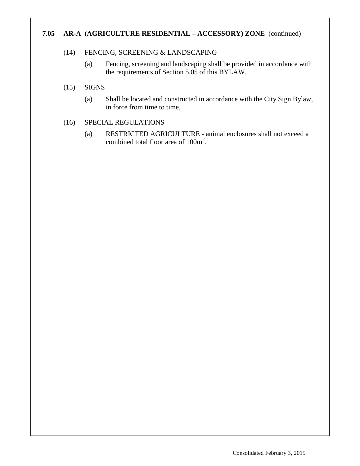# **7.05 AR-A (AGRICULTURE RESIDENTIAL – ACCESSORY) ZONE** (continued)

# (14) FENCING, SCREENING & LANDSCAPING

(a) Fencing, screening and landscaping shall be provided in accordance with the requirements of Section 5.05 of this BYLAW.

### (15) SIGNS

(a) Shall be located and constructed in accordance with the City Sign Bylaw, in force from time to time.

### (16) SPECIAL REGULATIONS

(a) RESTRICTED AGRICULTURE - animal enclosures shall not exceed a combined total floor area of 100m<sup>2</sup>.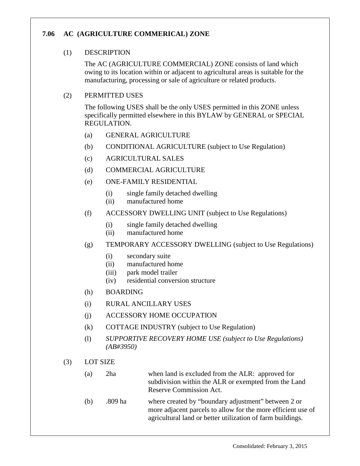# **7.06 AC (AGRICULTURE COMMERICAL) ZONE**

## (1) DESCRIPTION

The AC (AGRICULTURE COMMERCIAL) ZONE consists of land which owing to its location within or adjacent to agricultural areas is suitable for the manufacturing, processing or sale of agriculture or related products.

### (2) PERMITTED USES

The following USES shall be the only USES permitted in this ZONE unless specifically permitted elsewhere in this BYLAW by GENERAL or SPECIAL REGULATION.

- (a) GENERAL AGRICULTURE
- (b) CONDITIONAL AGRICULTURE (subject to Use Regulation)
- (c) AGRICULTURAL SALES
- (d) COMMERCIAL AGRICULTURE
- (e) ONE-FAMILY RESIDENTIAL
	- (i) single family detached dwelling
	- (ii) manufactured home
- (f) ACCESSORY DWELLING UNIT (subject to Use Regulations)
	- (i) single family detached dwelling
	- (ii) manufactured home
- (g) TEMPORARY ACCESSORY DWELLING (subject to Use Regulations)
	- (i) secondary suite
	- (ii) manufactured home
	- (iii) park model trailer
	- (iv) residential conversion structure
- (h) BOARDING
- (i) RURAL ANCILLARY USES
- (j) ACCESSORY HOME OCCUPATION
- (k) COTTAGE INDUSTRY (subject to Use Regulation)
- (l) *SUPPORTIVE RECOVERY HOME USE (subject to Use Regulations) (AB#3950)*
- (3) LOT SIZE
	- (a) 2ha when land is excluded from the ALR: approved for subdivision within the ALR or exempted from the Land Reserve Commission Act.
	- (b) .809 ha where created by "boundary adjustment" between 2 or more adjacent parcels to allow for the more efficient use of agricultural land or better utilization of farm buildings.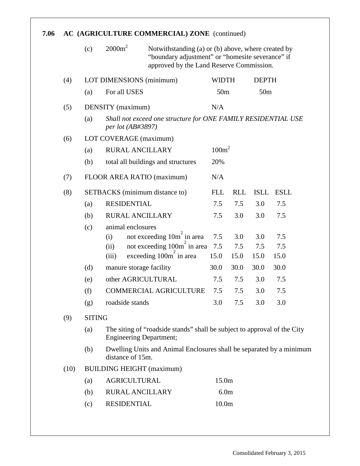| 7.06 | AC (AGRICULTURE COMMERCIAL) ZONE (continued)                                                    |               |                                                                                                                                                                          |                          |                                                                                                            |                                                               |            |                 |              |  |  |
|------|-------------------------------------------------------------------------------------------------|---------------|--------------------------------------------------------------------------------------------------------------------------------------------------------------------------|--------------------------|------------------------------------------------------------------------------------------------------------|---------------------------------------------------------------|------------|-----------------|--------------|--|--|
|      |                                                                                                 | (c)           | 2000m <sup>2</sup><br>Notwithstanding (a) or (b) above, where created by<br>"boundary adjustment" or "homesite severance" if<br>approved by the Land Reserve Commission. |                          |                                                                                                            |                                                               |            |                 |              |  |  |
|      | (4)                                                                                             |               |                                                                                                                                                                          |                          | LOT DIMENSIONS (minimum)                                                                                   | <b>WIDTH</b>                                                  |            |                 | <b>DEPTH</b> |  |  |
|      |                                                                                                 | (a)           |                                                                                                                                                                          | For all USES             | 50 <sub>m</sub>                                                                                            |                                                               |            | 50 <sub>m</sub> |              |  |  |
|      | (5)                                                                                             |               | DENSITY (maximum)                                                                                                                                                        |                          |                                                                                                            | N/A                                                           |            |                 |              |  |  |
|      |                                                                                                 | (a)           |                                                                                                                                                                          | <i>per lot (AB#3897)</i> |                                                                                                            | Shall not exceed one structure for ONE FAMILY RESIDENTIAL USE |            |                 |              |  |  |
|      | (6)                                                                                             |               |                                                                                                                                                                          |                          | LOT COVERAGE (maximum)                                                                                     |                                                               |            |                 |              |  |  |
|      |                                                                                                 | (a)           | <b>RURAL ANCILLARY</b>                                                                                                                                                   |                          |                                                                                                            | 100m <sup>2</sup>                                             |            |                 |              |  |  |
|      |                                                                                                 | (b)           |                                                                                                                                                                          |                          | total all buildings and structures                                                                         | 20%                                                           |            |                 |              |  |  |
|      | (7)                                                                                             |               |                                                                                                                                                                          |                          | FLOOR AREA RATIO (maximum)                                                                                 | N/A                                                           |            |                 |              |  |  |
| (8)  |                                                                                                 |               |                                                                                                                                                                          |                          | SETBACKS (minimum distance to)                                                                             | <b>FLL</b>                                                    | <b>RLL</b> | <b>ISLL</b>     | <b>ESLL</b>  |  |  |
|      |                                                                                                 | (a)           | <b>RESIDENTIAL</b>                                                                                                                                                       |                          |                                                                                                            |                                                               | 7.5        | 3.0             | 7.5          |  |  |
|      |                                                                                                 | (b)           |                                                                                                                                                                          |                          | <b>RURAL ANCILLARY</b>                                                                                     | 7.5                                                           | 3.0        | 3.0             | 7.5          |  |  |
|      |                                                                                                 | (c)           |                                                                                                                                                                          | animal enclosures        |                                                                                                            |                                                               |            |                 |              |  |  |
|      |                                                                                                 |               | (i)                                                                                                                                                                      |                          | not exceeding $10m^2$ in area                                                                              | 7.5                                                           | 3.0        | 3.0             | 7.5          |  |  |
|      |                                                                                                 |               | (ii)                                                                                                                                                                     |                          | not exceeding 100m <sup>2</sup> in area                                                                    | 7.5                                                           | 7.5        | 7.5             | 7.5          |  |  |
|      |                                                                                                 |               | (iii)                                                                                                                                                                    |                          | exceeding $100m^2$ in area                                                                                 | 15.0                                                          | 15.0       | 15.0            | 15.0         |  |  |
|      |                                                                                                 | (d)           |                                                                                                                                                                          |                          | manure storage facility                                                                                    | 30.0                                                          | 30.0       | 30.0            | 30.0         |  |  |
|      |                                                                                                 | (e)           |                                                                                                                                                                          |                          | other AGRICULTURAL                                                                                         | 7.5                                                           | 7.5        | 3.0             | 7.5          |  |  |
|      |                                                                                                 | (f)           |                                                                                                                                                                          |                          | <b>COMMERCIAL AGRICULTURE</b>                                                                              | 7.5                                                           | 7.5        | 3.0             | 7.5          |  |  |
|      |                                                                                                 | (g)           |                                                                                                                                                                          | roadside stands          |                                                                                                            | 3.0                                                           | 7.5        | 3.0             | 3.0          |  |  |
|      | (9)                                                                                             | <b>SITING</b> |                                                                                                                                                                          |                          |                                                                                                            |                                                               |            |                 |              |  |  |
|      |                                                                                                 | (a)           |                                                                                                                                                                          |                          | The siting of "roadside stands" shall be subject to approval of the City<br><b>Engineering Department;</b> |                                                               |            |                 |              |  |  |
|      | Dwelling Units and Animal Enclosures shall be separated by a minimum<br>(b)<br>distance of 15m. |               |                                                                                                                                                                          |                          |                                                                                                            |                                                               |            |                 |              |  |  |
|      | (10)                                                                                            |               |                                                                                                                                                                          |                          | <b>BUILDING HEIGHT (maximum)</b>                                                                           |                                                               |            |                 |              |  |  |
|      |                                                                                                 | (a)           |                                                                                                                                                                          | <b>AGRICULTURAL</b>      |                                                                                                            | 15.0m                                                         |            |                 |              |  |  |
|      |                                                                                                 | (b)           |                                                                                                                                                                          |                          | RURAL ANCILLARY                                                                                            | 6.0 <sub>m</sub>                                              |            |                 |              |  |  |
|      |                                                                                                 | (c)           |                                                                                                                                                                          | <b>RESIDENTIAL</b>       |                                                                                                            | 10.0 <sub>m</sub>                                             |            |                 |              |  |  |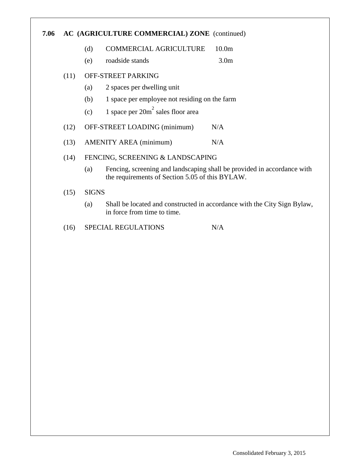#### **7.06 AC (AGRICULTURE COMMERCIAL) ZONE** (continued)

#### (d) COMMERCIAL AGRICULTURE 10.0m

(e) roadside stands 3.0m

# (11) OFF-STREET PARKING

- (a) 2 spaces per dwelling unit
- (b) 1 space per employee not residing on the farm
- (c) 1 space per  $20m^2$  sales floor area
- (12) OFF-STREET LOADING (minimum) N/A
- (13) AMENITY AREA (minimum) N/A

#### (14) FENCING, SCREENING & LANDSCAPING

(a) Fencing, screening and landscaping shall be provided in accordance with the requirements of Section 5.05 of this BYLAW.

### (15) SIGNS

- (a) Shall be located and constructed in accordance with the City Sign Bylaw, in force from time to time.
- (16) SPECIAL REGULATIONS N/A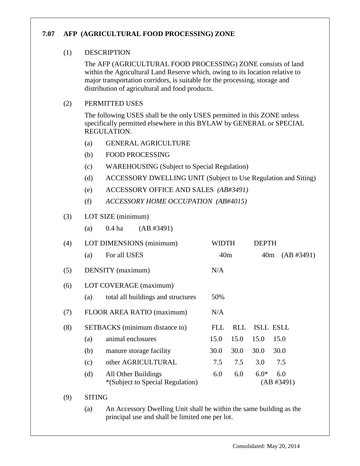# **7.07 AFP (AGRICULTURAL FOOD PROCESSING) ZONE**

## (1) DESCRIPTION

The AFP (AGRICULTURAL FOOD PROCESSING) ZONE consists of land within the Agricultural Land Reserve which, owing to its location relative to major transportation corridors, is suitable for the processing, storage and distribution of agricultural and food products.

# (2) PERMITTED USES

The following USES shall be the only USES permitted in this ZONE unless specifically permitted elsewhere in this BYLAW by GENERAL or SPECIAL REGULATION.

- (a) GENERAL AGRICULTURE
- (b) FOOD PROCESSING
- (c) WAREHOUSING (Subject to Special Regulation)
- (d) ACCESSORY DWELLING UNIT (Subject to Use Regulation and Siting)
- (e) ACCESSORY OFFICE AND SALES *(AB#3491)*
- (f) *ACCESSORY HOME OCCUPATION (AB#4015)*

# (3) LOT SIZE (minimum)

(a)  $0.4$  ha  $(AB \#3491)$ 

| (4) | LOT DIMENSIONS (minimum)              |                                                         | WIDTH           |            | <b>DEPTH</b>    |                   |            |
|-----|---------------------------------------|---------------------------------------------------------|-----------------|------------|-----------------|-------------------|------------|
|     | (a)                                   | For all USES                                            | 40 <sub>m</sub> |            | 40 <sub>m</sub> |                   | (AB #3491) |
| (5) |                                       | DENSITY (maximum)                                       | N/A             |            |                 |                   |            |
| (6) | LOT COVERAGE (maximum)                |                                                         |                 |            |                 |                   |            |
|     | (a)                                   | total all buildings and structures                      | 50%             |            |                 |                   |            |
| (7) |                                       | FLOOR AREA RATIO (maximum)                              | N/A             |            |                 |                   |            |
| (8) | <b>SETBACKS</b> (minimum distance to) |                                                         | FLL.            | <b>RLL</b> |                 | <b>ISLL ESLL</b>  |            |
|     | (a)                                   | animal enclosures                                       | 15.0            | 15.0       | 15.0            | 15.0              |            |
|     | (b)                                   | manure storage facility                                 | 30.0            | 30.0       | 30.0            | 30.0              |            |
|     | (c)                                   | other AGRICULTURAL                                      | 7.5             | 7.5        | 3.0             | 7.5               |            |
|     | (d)                                   | All Other Buildings<br>*(Subject to Special Regulation) | 6.0             | 6.0        | $6.0*$          | 6.0<br>(AB #3491) |            |

#### (9) SITING

(a) An Accessory Dwelling Unit shall be within the same building as the principal use and shall be limited one per lot.